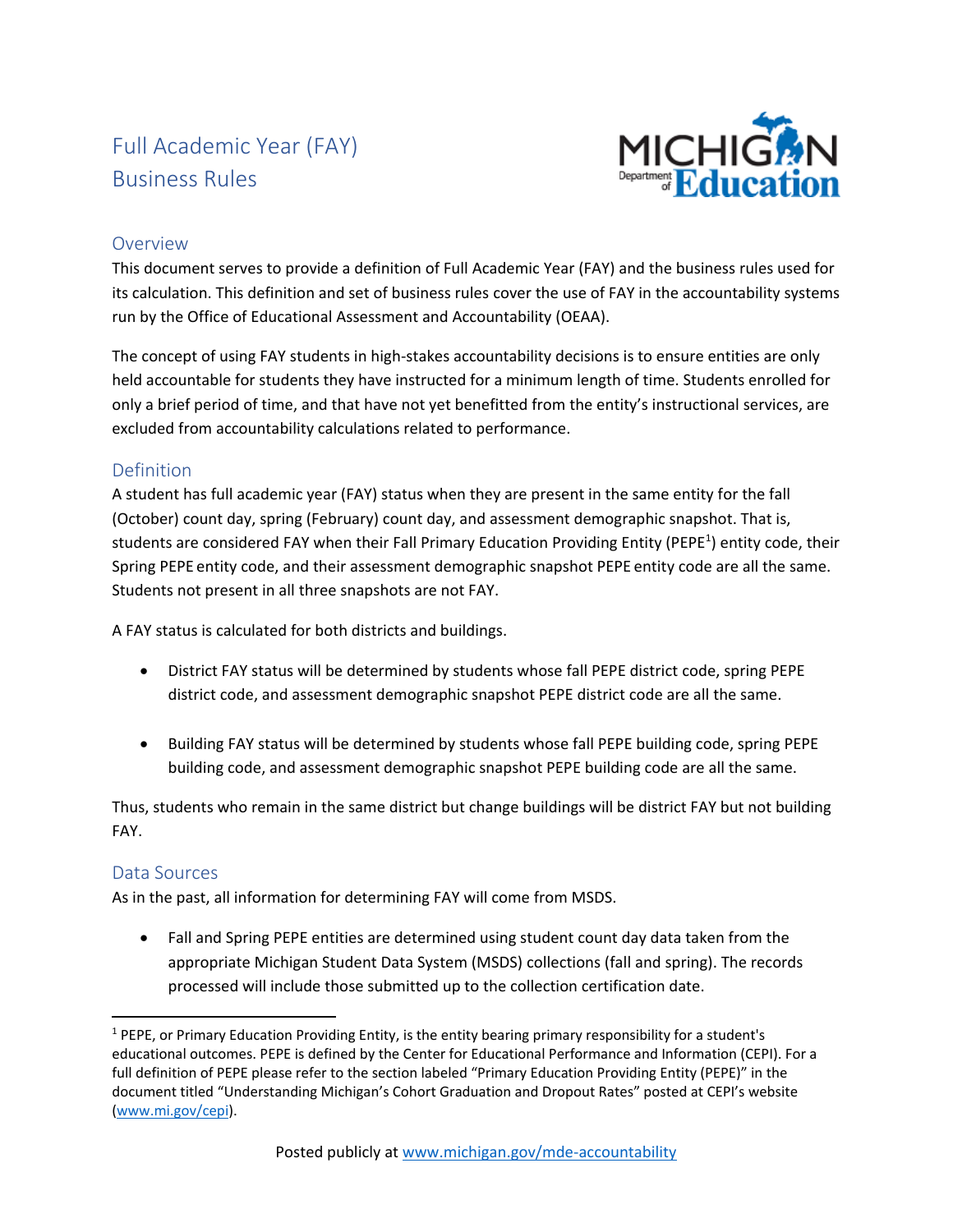# Full Academic Year (FAY) Business Rules



#### **Overview**

This document serves to provide a definition of Full Academic Year (FAY) and the business rules used for its calculation. This definition and set of business rules cover the use of FAY in the accountability systems run by the Office of Educational Assessment and Accountability (OEAA).

The concept of using FAY students in high-stakes accountability decisions is to ensure entities are only held accountable for students they have instructed for a minimum length of time. Students enrolled for only a brief period of time, and that have not yet benefitted from the entity's instructional services, are excluded from accountability calculations related to performance.

#### Definition

A student has full academic year (FAY) status when they are present in the same entity for the fall (October) count day, spring (February) count day, and assessment demographic snapshot. That is, students are considered FAY when their Fall Primary Education Providing Entity (PEPE<sup>1</sup>) entity code, their Spring PEPE entity code, and their assessment demographic snapshot PEPE entity code are all the same. Students not present in all three snapshots are not FAY.

A FAY status is calculated for both districts and buildings.

- District FAY status will be determined by students whose fall PEPE district code, spring PEPE district code, and assessment demographic snapshot PEPE district code are all the same.
- Building FAY status will be determined by students whose fall PEPE building code, spring PEPE building code, and assessment demographic snapshot PEPE building code are all the same.

Thus, students who remain in the same district but change buildings will be district FAY but not building FAY.

#### Data Sources

As in the past, all information for determining FAY will come from MSDS.

• Fall and Spring PEPE entities are determined using student count day data taken from the appropriate Michigan Student Data System (MSDS) collections (fall and spring). The records processed will include those submitted up to the collection certification date.

<sup>1</sup> PEPE, or Primary Education Providing Entity, is the entity bearing primary responsibility for a student's educational outcomes. PEPE is defined by the Center for Educational Performance and Information (CEPI). For a full definition of PEPE please refer to the section labeled "Primary Education Providing Entity (PEPE)" in the document titled "Understanding Michigan's Cohort Graduation and Dropout Rates" posted at CEPI's website [\(www.mi.gov/cepi\)](http://www.mi.gov/cepi).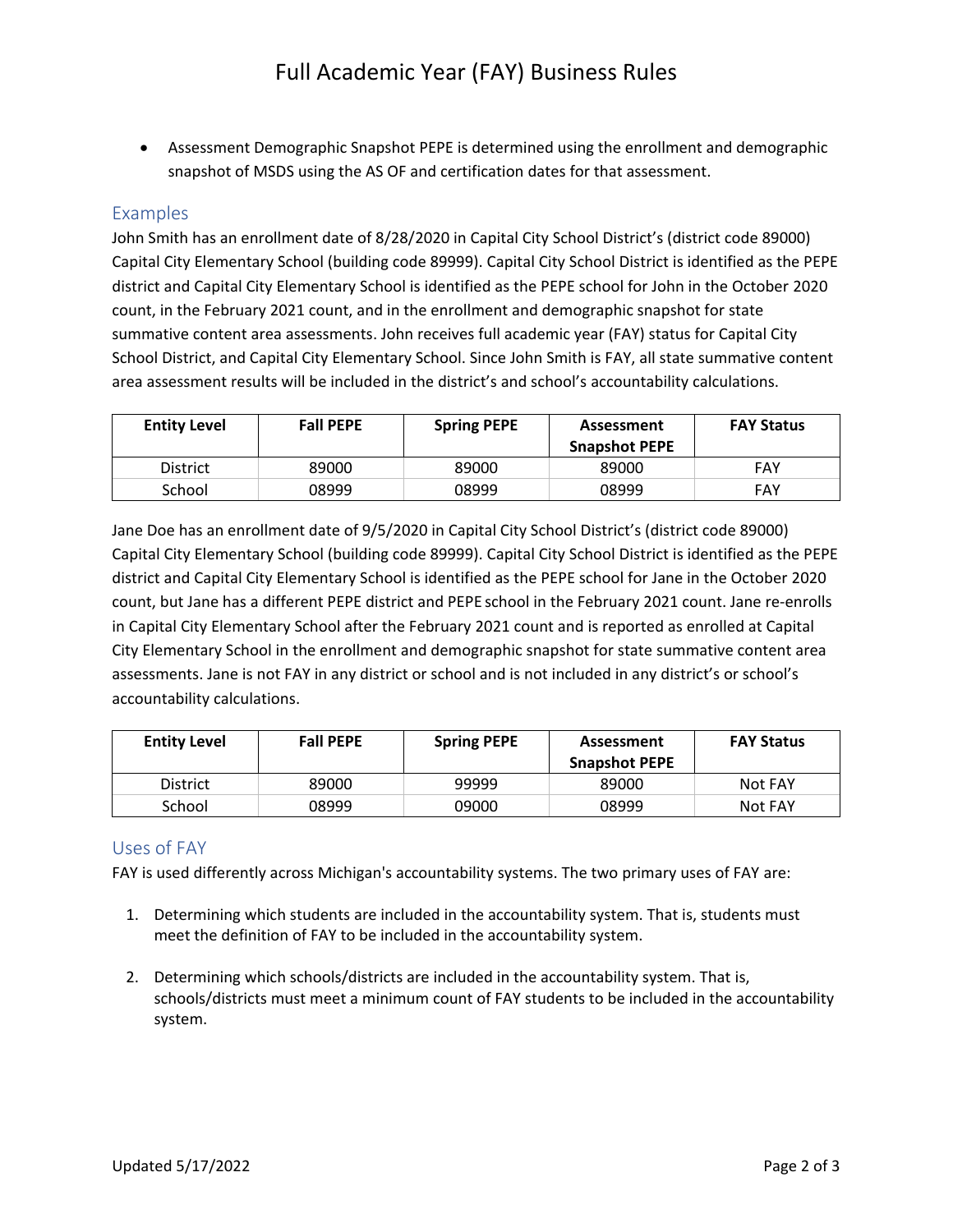• Assessment Demographic Snapshot PEPE is determined using the enrollment and demographic snapshot of MSDS using the AS OF and certification dates for that assessment.

#### Examples

John Smith has an enrollment date of 8/28/2020 in Capital City School District's (district code 89000) Capital City Elementary School (building code 89999). Capital City School District is identified as the PEPE district and Capital City Elementary School is identified as the PEPE school for John in the October 2020 count, in the February 2021 count, and in the enrollment and demographic snapshot for state summative content area assessments. John receives full academic year (FAY) status for Capital City School District, and Capital City Elementary School. Since John Smith is FAY, all state summative content area assessment results will be included in the district's and school's accountability calculations.

| <b>Entity Level</b> | <b>Fall PEPE</b> | <b>Spring PEPE</b> | Assessment<br><b>Snapshot PEPE</b> | <b>FAY Status</b> |
|---------------------|------------------|--------------------|------------------------------------|-------------------|
| District            | 89000            | 89000              | 89000                              | FAY               |
| School              | 08999            | 08999              | 08999                              | FAY               |

Jane Doe has an enrollment date of 9/5/2020 in Capital City School District's (district code 89000) Capital City Elementary School (building code 89999). Capital City School District is identified as the PEPE district and Capital City Elementary School is identified as the PEPE school for Jane in the October 2020 count, but Jane has a different PEPE district and PEPE school in the February 2021 count. Jane re-enrolls in Capital City Elementary School after the February 2021 count and is reported as enrolled at Capital City Elementary School in the enrollment and demographic snapshot for state summative content area assessments. Jane is not FAY in any district or school and is not included in any district's or school's accountability calculations.

| <b>Entity Level</b> | <b>Fall PEPE</b> | <b>Spring PEPE</b> | <b>Assessment</b><br><b>Snapshot PEPE</b> | <b>FAY Status</b> |
|---------------------|------------------|--------------------|-------------------------------------------|-------------------|
| <b>District</b>     | 89000            | 99999              | 89000                                     | Not FAY           |
| School              | 08999            | 09000              | 08999                                     | Not FAY           |

### Uses of FAY

FAY is used differently across Michigan's accountability systems. The two primary uses of FAY are:

- 1. Determining which students are included in the accountability system. That is, students must meet the definition of FAY to be included in the accountability system.
- 2. Determining which schools/districts are included in the accountability system. That is, schools/districts must meet a minimum count of FAY students to be included in the accountability system.